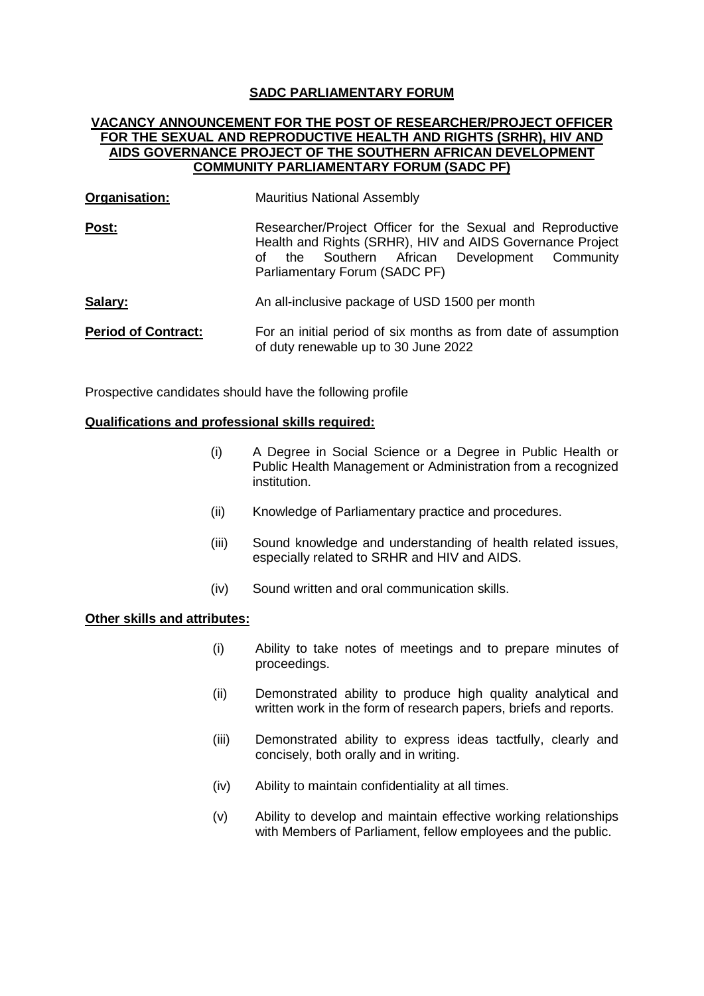## **SADC PARLIAMENTARY FORUM**

## **VACANCY ANNOUNCEMENT FOR THE POST OF RESEARCHER/PROJECT OFFICER FOR THE SEXUAL AND REPRODUCTIVE HEALTH AND RIGHTS (SRHR), HIV AND AIDS GOVERNANCE PROJECT OF THE SOUTHERN AFRICAN DEVELOPMENT COMMUNITY PARLIAMENTARY FORUM (SADC PF)**

- **Organisation:** Mauritius National Assembly
- **Post:** Researcher/Project Officer for the Sexual and Reproductive Health and Rights (SRHR), HIV and AIDS Governance Project of the Southern African Development Community Parliamentary Forum (SADC PF)

#### **Salary: An all-inclusive package of USD 1500 per month**

**Period of Contract:** For an initial period of six months as from date of assumption of duty renewable up to 30 June 2022

Prospective candidates should have the following profile

### **Qualifications and professional skills required:**

- (i) A Degree in Social Science or a Degree in Public Health or Public Health Management or Administration from a recognized institution.
- (ii) Knowledge of Parliamentary practice and procedures.
- (iii) Sound knowledge and understanding of health related issues, especially related to SRHR and HIV and AIDS.
- (iv) Sound written and oral communication skills.

# **Other skills and attributes:**

- (i) Ability to take notes of meetings and to prepare minutes of proceedings.
- (ii) Demonstrated ability to produce high quality analytical and written work in the form of research papers, briefs and reports.
- (iii) Demonstrated ability to express ideas tactfully, clearly and concisely, both orally and in writing.
- (iv) Ability to maintain confidentiality at all times.
- (v) Ability to develop and maintain effective working relationships with Members of Parliament, fellow employees and the public.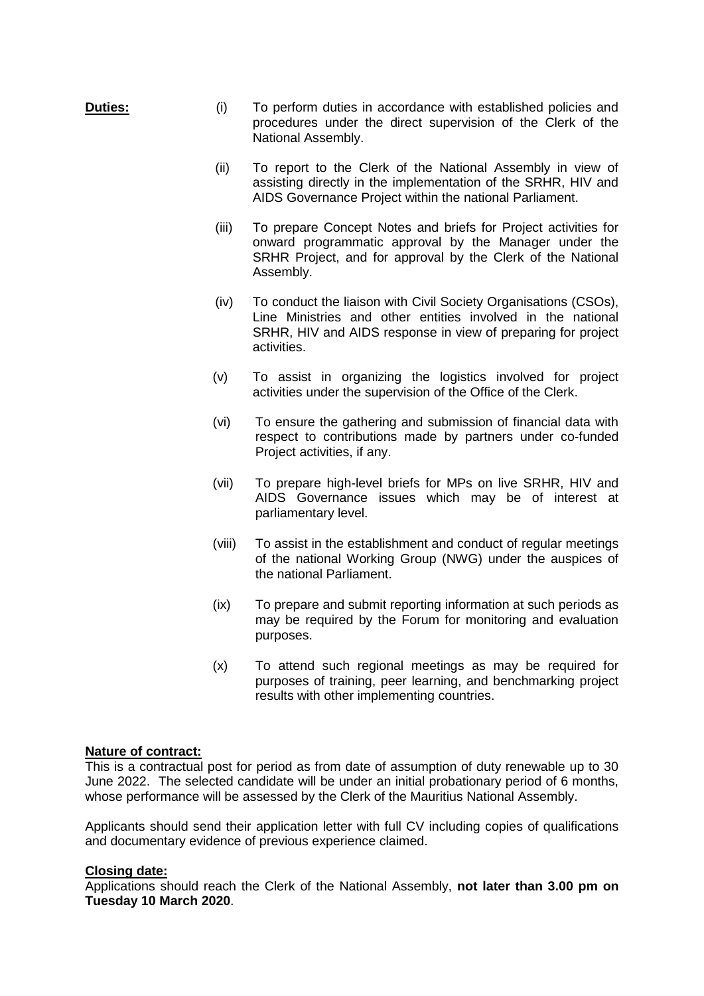- **Duties:** (i) To perform duties in accordance with established policies and procedures under the direct supervision of the Clerk of the National Assembly.
	- (ii) To report to the Clerk of the National Assembly in view of assisting directly in the implementation of the SRHR, HIV and AIDS Governance Project within the national Parliament.
	- (iii) To prepare Concept Notes and briefs for Project activities for onward programmatic approval by the Manager under the SRHR Project, and for approval by the Clerk of the National Assembly.
	- (iv) To conduct the liaison with Civil Society Organisations (CSOs), Line Ministries and other entities involved in the national SRHR, HIV and AIDS response in view of preparing for project activities.
	- (v) To assist in organizing the logistics involved for project activities under the supervision of the Office of the Clerk.
	- (vi) To ensure the gathering and submission of financial data with respect to contributions made by partners under co-funded Project activities, if any.
	- (vii) To prepare high-level briefs for MPs on live SRHR, HIV and AIDS Governance issues which may be of interest at parliamentary level.
	- (viii) To assist in the establishment and conduct of regular meetings of the national Working Group (NWG) under the auspices of the national Parliament.
	- (ix) To prepare and submit reporting information at such periods as may be required by the Forum for monitoring and evaluation purposes.
	- (x) To attend such regional meetings as may be required for purposes of training, peer learning, and benchmarking project results with other implementing countries.

## **Nature of contract:**

This is a contractual post for period as from date of assumption of duty renewable up to 30 June 2022. The selected candidate will be under an initial probationary period of 6 months, whose performance will be assessed by the Clerk of the Mauritius National Assembly.

Applicants should send their application letter with full CV including copies of qualifications and documentary evidence of previous experience claimed.

## **Closing date:**

Applications should reach the Clerk of the National Assembly, **not later than 3.00 pm on Tuesday 10 March 2020**.